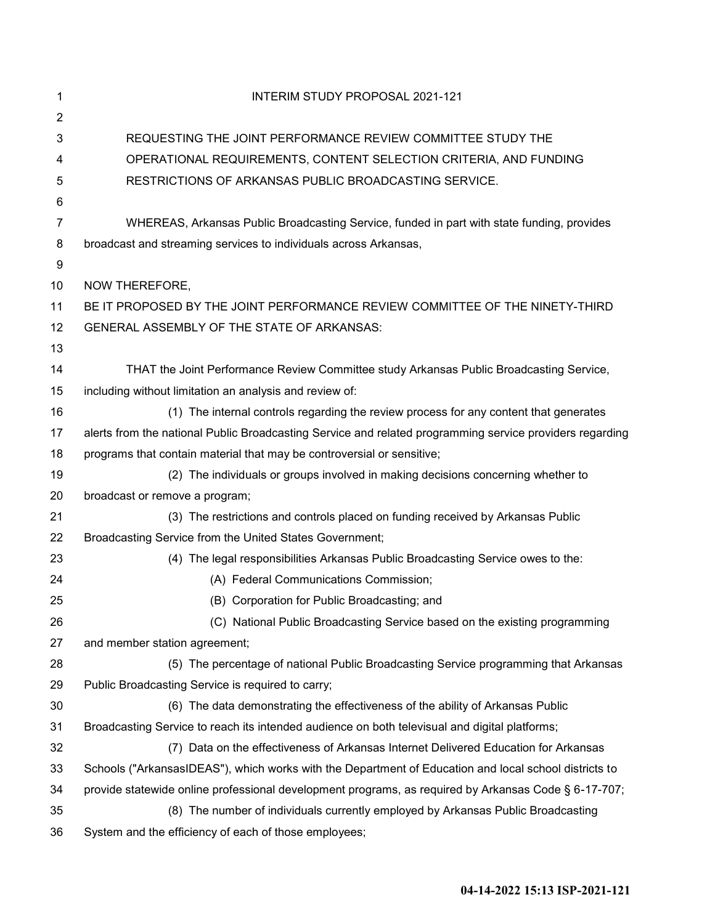| 1      | INTERIM STUDY PROPOSAL 2021-121                                                                          |
|--------|----------------------------------------------------------------------------------------------------------|
| 2      |                                                                                                          |
| 3      | REQUESTING THE JOINT PERFORMANCE REVIEW COMMITTEE STUDY THE                                              |
| 4      | OPERATIONAL REQUIREMENTS, CONTENT SELECTION CRITERIA, AND FUNDING                                        |
| 5      | RESTRICTIONS OF ARKANSAS PUBLIC BROADCASTING SERVICE.                                                    |
| 6      |                                                                                                          |
| 7      | WHEREAS, Arkansas Public Broadcasting Service, funded in part with state funding, provides               |
| 8<br>9 | broadcast and streaming services to individuals across Arkansas,                                         |
| 10     | NOW THEREFORE,                                                                                           |
| 11     | BE IT PROPOSED BY THE JOINT PERFORMANCE REVIEW COMMITTEE OF THE NINETY-THIRD                             |
| 12     | <b>GENERAL ASSEMBLY OF THE STATE OF ARKANSAS:</b>                                                        |
| 13     |                                                                                                          |
| 14     | THAT the Joint Performance Review Committee study Arkansas Public Broadcasting Service,                  |
| 15     | including without limitation an analysis and review of:                                                  |
| 16     | (1) The internal controls regarding the review process for any content that generates                    |
| 17     | alerts from the national Public Broadcasting Service and related programming service providers regarding |
| 18     | programs that contain material that may be controversial or sensitive;                                   |
| 19     | (2) The individuals or groups involved in making decisions concerning whether to                         |
| 20     | broadcast or remove a program;                                                                           |
| 21     | (3) The restrictions and controls placed on funding received by Arkansas Public                          |
| 22     | Broadcasting Service from the United States Government;                                                  |
| 23     | (4) The legal responsibilities Arkansas Public Broadcasting Service owes to the:                         |
| 24     | (A) Federal Communications Commission;                                                                   |
| 25     | (B) Corporation for Public Broadcasting; and                                                             |
| 26     | (C) National Public Broadcasting Service based on the existing programming                               |
| 27     | and member station agreement;                                                                            |
| 28     | (5) The percentage of national Public Broadcasting Service programming that Arkansas                     |
| 29     | Public Broadcasting Service is required to carry;                                                        |
| 30     | (6) The data demonstrating the effectiveness of the ability of Arkansas Public                           |
| 31     | Broadcasting Service to reach its intended audience on both televisual and digital platforms;            |
| 32     | (7) Data on the effectiveness of Arkansas Internet Delivered Education for Arkansas                      |
| 33     | Schools ("ArkansasIDEAS"), which works with the Department of Education and local school districts to    |
| 34     | provide statewide online professional development programs, as required by Arkansas Code § 6-17-707;     |
| 35     | (8) The number of individuals currently employed by Arkansas Public Broadcasting                         |
| 36     | System and the efficiency of each of those employees;                                                    |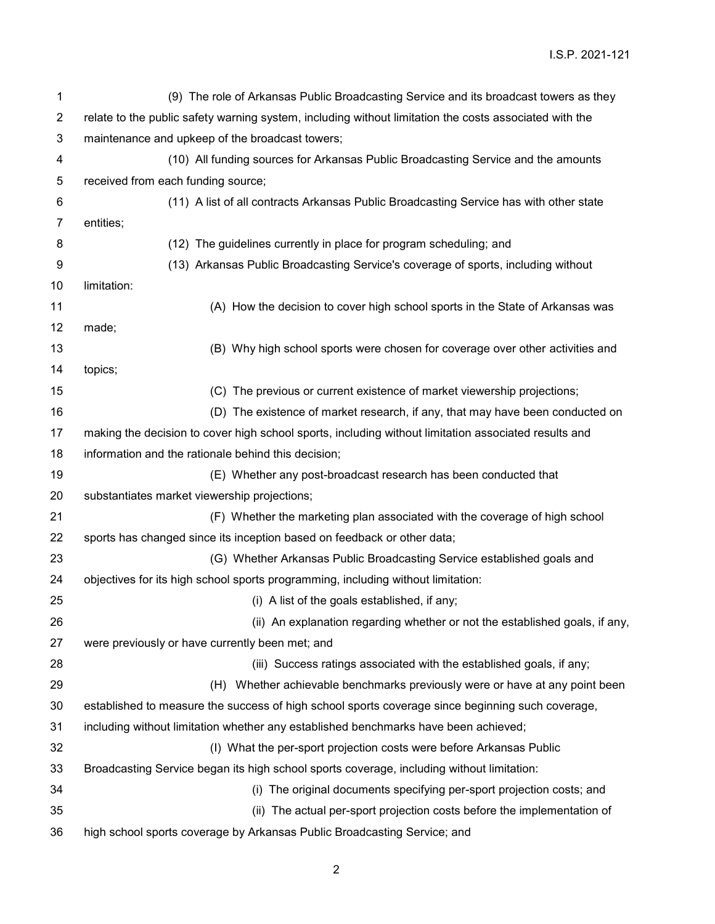| 1  | (9) The role of Arkansas Public Broadcasting Service and its broadcast towers as they                  |
|----|--------------------------------------------------------------------------------------------------------|
| 2  | relate to the public safety warning system, including without limitation the costs associated with the |
| 3  | maintenance and upkeep of the broadcast towers;                                                        |
| 4  | (10) All funding sources for Arkansas Public Broadcasting Service and the amounts                      |
| 5  | received from each funding source;                                                                     |
| 6  | (11) A list of all contracts Arkansas Public Broadcasting Service has with other state                 |
| 7  | entities;                                                                                              |
| 8  | (12) The guidelines currently in place for program scheduling; and                                     |
| 9  | (13) Arkansas Public Broadcasting Service's coverage of sports, including without                      |
| 10 | limitation:                                                                                            |
| 11 | (A) How the decision to cover high school sports in the State of Arkansas was                          |
| 12 | made;                                                                                                  |
| 13 | (B) Why high school sports were chosen for coverage over other activities and                          |
| 14 | topics;                                                                                                |
| 15 | (C) The previous or current existence of market viewership projections;                                |
| 16 | (D) The existence of market research, if any, that may have been conducted on                          |
| 17 | making the decision to cover high school sports, including without limitation associated results and   |
| 18 | information and the rationale behind this decision;                                                    |
| 19 | (E) Whether any post-broadcast research has been conducted that                                        |
| 20 | substantiates market viewership projections;                                                           |
| 21 | (F) Whether the marketing plan associated with the coverage of high school                             |
| 22 | sports has changed since its inception based on feedback or other data;                                |
| 23 | (G) Whether Arkansas Public Broadcasting Service established goals and                                 |
| 24 | objectives for its high school sports programming, including without limitation:                       |
| 25 | (i) A list of the goals established, if any;                                                           |
| 26 | (ii) An explanation regarding whether or not the established goals, if any,                            |
| 27 | were previously or have currently been met; and                                                        |
| 28 | (iii) Success ratings associated with the established goals, if any;                                   |
| 29 | (H) Whether achievable benchmarks previously were or have at any point been                            |
| 30 | established to measure the success of high school sports coverage since beginning such coverage,       |
| 31 | including without limitation whether any established benchmarks have been achieved;                    |
| 32 | (I) What the per-sport projection costs were before Arkansas Public                                    |
| 33 | Broadcasting Service began its high school sports coverage, including without limitation:              |
| 34 | (i) The original documents specifying per-sport projection costs; and                                  |
| 35 | (ii) The actual per-sport projection costs before the implementation of                                |
| 36 | high school sports coverage by Arkansas Public Broadcasting Service; and                               |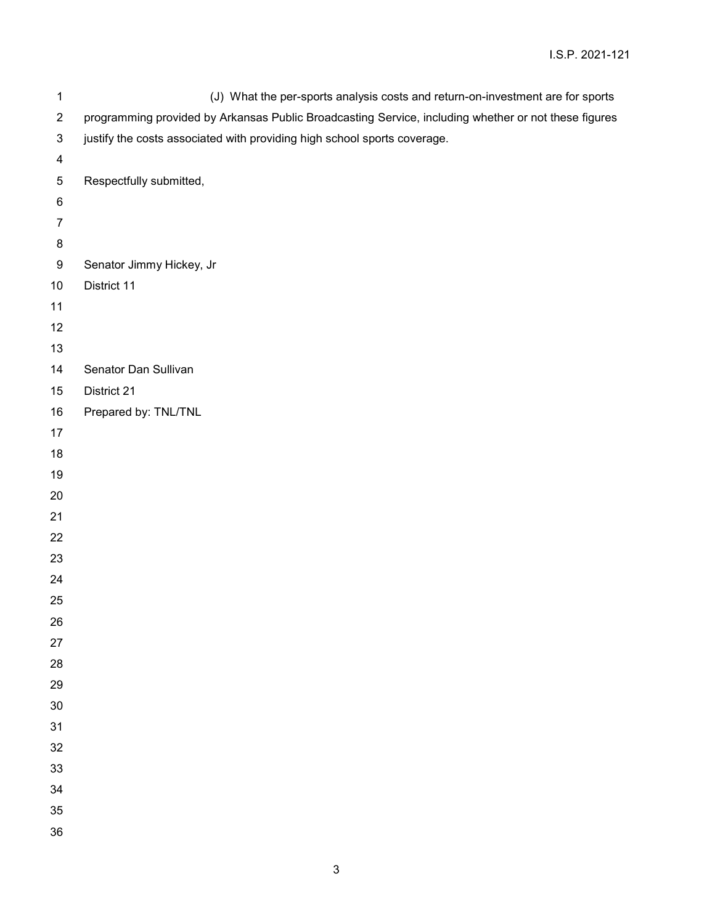| 1                | (J) What the per-sports analysis costs and return-on-investment are for sports                       |
|------------------|------------------------------------------------------------------------------------------------------|
| $\mathbf{2}$     | programming provided by Arkansas Public Broadcasting Service, including whether or not these figures |
| $\mathbf{3}$     | justify the costs associated with providing high school sports coverage.                             |
| $\overline{4}$   |                                                                                                      |
| 5                | Respectfully submitted,                                                                              |
| $\,6$            |                                                                                                      |
| $\boldsymbol{7}$ |                                                                                                      |
| $\bf 8$          |                                                                                                      |
| $\boldsymbol{9}$ | Senator Jimmy Hickey, Jr                                                                             |
| $10$             | District 11                                                                                          |
| 11               |                                                                                                      |
| 12               |                                                                                                      |
| 13               |                                                                                                      |
| 14               | Senator Dan Sullivan                                                                                 |
| 15               | District 21                                                                                          |
| 16               | Prepared by: TNL/TNL                                                                                 |
| 17               |                                                                                                      |
| 18               |                                                                                                      |
| 19               |                                                                                                      |
| 20               |                                                                                                      |
| 21               |                                                                                                      |
| 22               |                                                                                                      |
| 23               |                                                                                                      |
| 24               |                                                                                                      |
| 25               |                                                                                                      |
| 26               |                                                                                                      |
| 27               |                                                                                                      |
| 28               |                                                                                                      |
| 29               |                                                                                                      |
| $30\,$           |                                                                                                      |
| 31               |                                                                                                      |
| 32               |                                                                                                      |
| 33               |                                                                                                      |
| 34               |                                                                                                      |
| 35               |                                                                                                      |
| 36               |                                                                                                      |